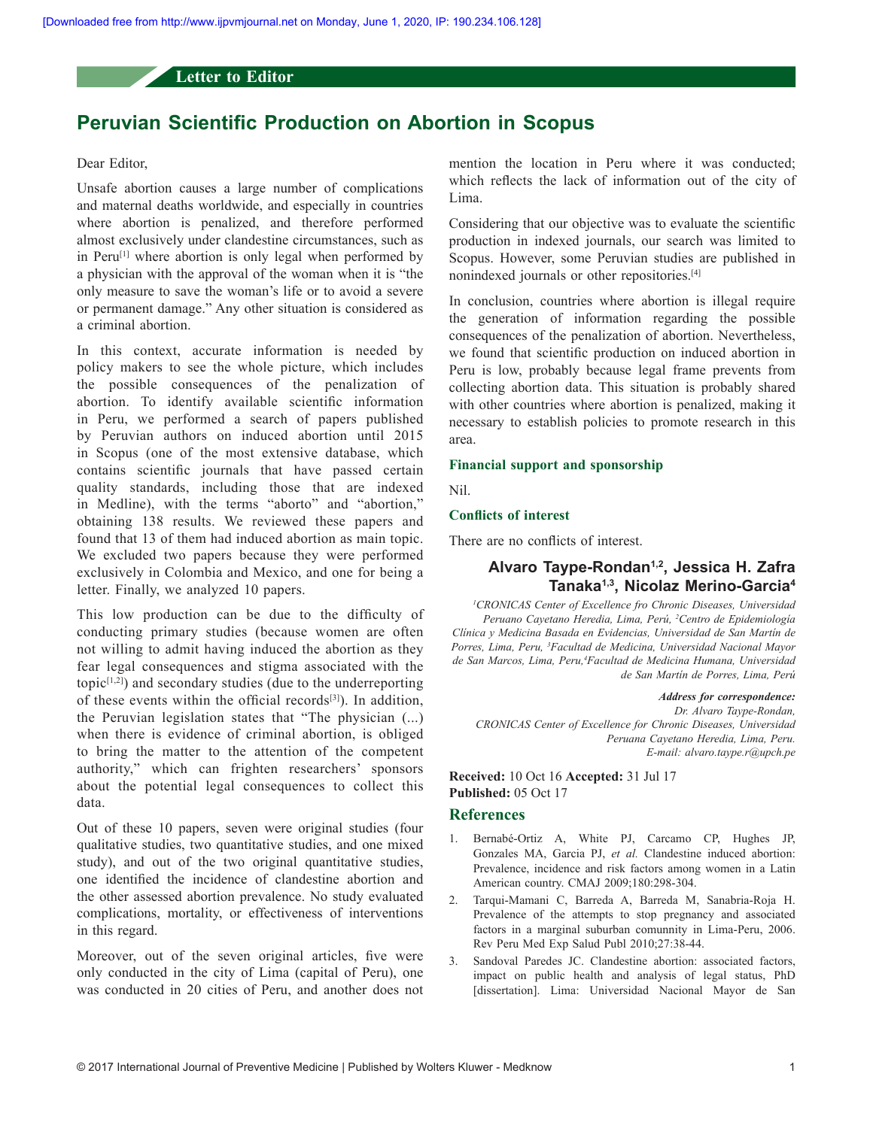## **Letter to Editor**

# **Peruvian Scientific Production on Abortion in Scopus**

## Dear Editor,

Unsafe abortion causes a large number of complications and maternal deaths worldwide, and especially in countries where abortion is penalized, and therefore performed almost exclusively under clandestine circumstances, such as in Peru<sup>[1]</sup> where abortion is only legal when performed by a physician with the approval of the woman when it is "the only measure to save the woman's life or to avoid a severe or permanent damage." Any other situation is considered as a criminal abortion.

In this context, accurate information is needed by policy makers to see the whole picture, which includes the possible consequences of the penalization of abortion. To identify available scientific information in Peru, we performed a search of papers published by Peruvian authors on induced abortion until 2015 in Scopus (one of the most extensive database, which contains scientific journals that have passed certain quality standards, including those that are indexed in Medline), with the terms "aborto" and "abortion," obtaining 138 results. We reviewed these papers and found that 13 of them had induced abortion as main topic. We excluded two papers because they were performed exclusively in Colombia and Mexico, and one for being a letter. Finally, we analyzed 10 papers.

This low production can be due to the difficulty of conducting primary studies (because women are often not willing to admit having induced the abortion as they fear legal consequences and stigma associated with the topic $[1,2]$ ) and secondary studies (due to the underreporting of these events within the official records $[3]$ ). In addition, the Peruvian legislation states that "The physician (...) when there is evidence of criminal abortion, is obliged to bring the matter to the attention of the competent authority," which can frighten researchers' sponsors about the potential legal consequences to collect this data.

Out of these 10 papers, seven were original studies (four qualitative studies, two quantitative studies, and one mixed study), and out of the two original quantitative studies, one identified the incidence of clandestine abortion and the other assessed abortion prevalence. No study evaluated complications, mortality, or effectiveness of interventions in this regard.

Moreover, out of the seven original articles, five were only conducted in the city of Lima (capital of Peru), one was conducted in 20 cities of Peru, and another does not mention the location in Peru where it was conducted; which reflects the lack of information out of the city of Lima.

Considering that our objective was to evaluate the scientific production in indexed journals, our search was limited to Scopus. However, some Peruvian studies are published in nonindexed journals or other repositories.[4]

In conclusion, countries where abortion is illegal require the generation of information regarding the possible consequences of the penalization of abortion. Nevertheless, we found that scientific production on induced abortion in Peru is low, probably because legal frame prevents from collecting abortion data. This situation is probably shared with other countries where abortion is penalized, making it necessary to establish policies to promote research in this area.

#### **Financial support and sponsorship**

Nil.

## **Conflicts of interest**

There are no conflicts of interest.

## **Alvaro Taype-Rondan1,2, Jessica H. Zafra Tanaka1,3, Nicolaz Merino-Garcia<sup>4</sup>**

*1 CRONICAS Center of Excellence fro Chronic Diseases, Universidad Peruano Cayetano Heredia, Lima, Perú, 2 Centro de Epidemiología Clínica y Medicina Basada en Evidencias, Universidad de San Martín de Porres, Lima, Peru, 3 Facultad de Medicina, Universidad Nacional Mayor de San Marcos, Lima, Peru,4 Facultad de Medicina Humana, Universidad de San Martín de Porres, Lima, Perú*

*Address for correspondence: Dr. Alvaro Taype‑Rondan, CRONICAS Center of Excellence for Chronic Diseases, Universidad Peruana Cayetano Heredia, Lima, Peru. E‑mail: alvaro.taype.r@upch.pe*

#### **Received:** 10 Oct 16 **Accepted:** 31 Jul 17 **Published:** 05 Oct 17

#### **References**

- 1. Bernabé‑Ortiz A, White PJ, Carcamo CP, Hughes JP, Gonzales MA, Garcia PJ, *et al.* Clandestine induced abortion: Prevalence, incidence and risk factors among women in a Latin American country. CMAJ 2009;180:298-304.
- 2. Tarqui‑Mamani C, Barreda A, Barreda M, Sanabria‑Roja H. Prevalence of the attempts to stop pregnancy and associated factors in a marginal suburban comunnity in Lima-Peru, 2006. Rev Peru Med Exp Salud Publ 2010;27:38‑44.
- 3. Sandoval Paredes JC. Clandestine abortion: associated factors, impact on public health and analysis of legal status, PhD [dissertation]. Lima: Universidad Nacional Mayor de San